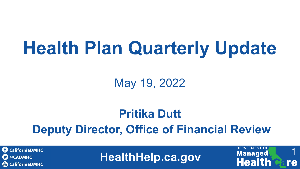# **Health Plan Quarterly Update**

May 19, 2022

### **Pritika Dutt Deputy Director, Office of Financial Review**

**C** CaliforniaDMHC **C** @CADMHC **(iii) CaliforniaDMHC** 

**HealthHelp.ca.gov**

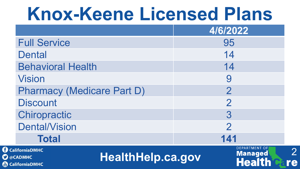# **Knox-Keene Licensed Plans**

|                                                                             | 4/6/2022                                                |
|-----------------------------------------------------------------------------|---------------------------------------------------------|
| <b>Full Service</b>                                                         | 95                                                      |
| <b>Dental</b>                                                               | 14                                                      |
| <b>Behavioral Health</b>                                                    | 14                                                      |
| <b>Vision</b>                                                               | 9                                                       |
| <b>Pharmacy (Medicare Part D)</b>                                           | $\overline{2}$                                          |
| <b>Discount</b>                                                             | $\overline{2}$                                          |
| Chiropractic                                                                | 3                                                       |
| <b>Dental/Vision</b>                                                        | $\overline{2}$                                          |
| <b>Total</b>                                                                | 141                                                     |
| aliforniaDMHC<br><b>HealthHelp.ca.gov</b><br><b>CADMHC</b><br>aliforniaDMHC | <b>DEPARTMENT OF</b><br><b>Managed</b><br><b>Health</b> |

 $\overline{\mathbf{O}}$   $\oplus$ 

Tube

2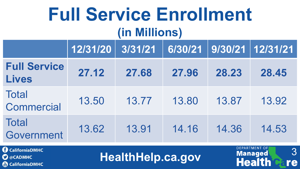### **Full Service Enrollment (in Millions)**

|                                     | 12/31/20 3/31/21 6/30/21 9/30/21 12/31/21 |       |       |       |       |
|-------------------------------------|-------------------------------------------|-------|-------|-------|-------|
| <b>Full Service</b><br><b>Lives</b> | 27.12                                     | 27.68 | 27.96 | 28.23 | 28.45 |
| <b>Total</b><br><b>Commercial</b>   | 13.50                                     | 13.77 | 13.80 | 13.87 | 13.92 |
| <b>Total</b><br>Government          | 13.62                                     | 13.91 | 14.16 | 14.36 | 14.53 |

**CaliforniaDMHC C** @CADMHC **CaliforniaDMHC** 

**HealthHelp.ca.gov**

3

re

**DEPARTMENT OF** 

**Managed**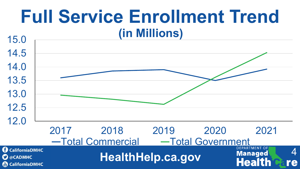### **Full Service Enrollment Trend (in Millions)**

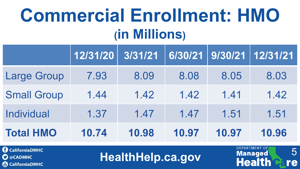# **Commercial Enrollment: HMO (in Millions)**

|                    | 12/31/20 | 3/31/21 |       |       | 6/30/21   9/30/21   12/31/21 |
|--------------------|----------|---------|-------|-------|------------------------------|
| <b>Large Group</b> | 7.93     | 8.09    | 8.08  | 8.05  | 8.03                         |
| <b>Small Group</b> | 1.44     | 1.42    | 1.42  | 1.41  | 1.42                         |
| <b>Individual</b>  | 1.37     | 1.47    | 1.47  | 1.51  | 1.51                         |
| <b>Total HMO</b>   | 10.74    | 10.98   | 10.97 | 10.97 | 10.96                        |

**CaliforniaDMHC C** @CADMHC **(a)** CaliforniaDMHC

**HealthHelp.ca.gov**

5

re

**DEPARTMENT OF** 

**Managed**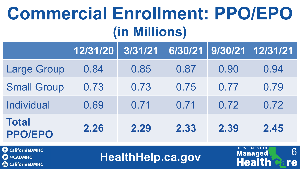## **Commercial Enrollment: PPO/EPO (in Millions)**

|                                | 12/31/20 | 3/31/21 |      |      | 6/30/21 9/30/21 12/31/21 |
|--------------------------------|----------|---------|------|------|--------------------------|
| <b>Large Group</b>             | 0.84     | 0.85    | 0.87 | 0.90 | 0.94                     |
| <b>Small Group</b>             | 0.73     | 0.73    | 0.75 | 0.77 | 0.79                     |
| <b>Individual</b>              | 0.69     | 0.71    | 0.71 | 0.72 | 0.72                     |
| <b>Total</b><br><b>PPO/EPO</b> | 2.26     | 2.29    | 2.33 | 2.39 | 2.45                     |

**CaliforniaDMHC**  $\mathbf{\Omega}$  @CADMHC **(a)** CaliforniaDMHC

**HealthHelp.ca.gov**

6

re

**DEPARTMENT OF** 

**Managed**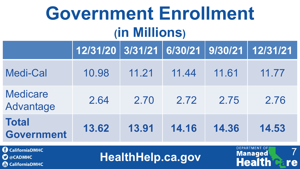# **Government Enrollment (in Millions)**

|                                   | 12/31/20   3/31/21   6/30/21   9/30/21   12/31/21 |       |       |       |       |
|-----------------------------------|---------------------------------------------------|-------|-------|-------|-------|
| <b>Medi-Cal</b>                   | 10.98                                             | 11.21 | 11.44 | 11.61 | 11.77 |
| <b>Medicare</b><br>Advantage      | 2.64                                              | 2.70  | 2.72  | 2.75  | 2.76  |
| <b>Total</b><br><b>Government</b> | 13.62                                             | 13.91 | 14.16 | 14.36 | 14.53 |

**CaliforniaDMHC C** @CADMHC **CaliforniaDMHC** 

**HealthHelp.ca.gov**

7

re

**DEPARTMENT OF** 

Managed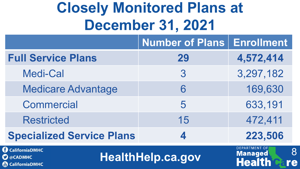### **Closely Monitored Plans at December 31, 2021**

|                                                                             | <b>Number of Plans Enrollment</b> |                                                             |
|-----------------------------------------------------------------------------|-----------------------------------|-------------------------------------------------------------|
| <b>Full Service Plans</b>                                                   | 29                                | 4,572,414                                                   |
| <b>Medi-Cal</b>                                                             | 3                                 | 3,297,182                                                   |
| <b>Medicare Advantage</b>                                                   | 6                                 | 169,630                                                     |
| <b>Commercial</b>                                                           | 5                                 | 633,191                                                     |
| <b>Restricted</b>                                                           | 15                                | 472,411                                                     |
| <b>Specialized Service Plans</b>                                            | 4                                 | 223,506                                                     |
| CaliforniaDMHC<br>$\mathbf{\mathcal{D}}$ @CADMHC<br><b>B</b> CaliforniaDMHC | <b>HealthHelp.ca.gov</b>          | <b>DEPARTMENT OF</b><br>8<br><b>Managed</b><br>Health<br>re |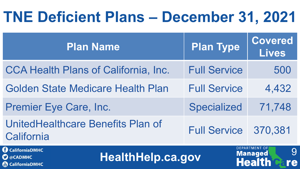### **TNE Deficient Plans – December 31, 2021**

| <b>Plan Name</b>                                                                               | <b>Plan Type</b>    | <b>Covered</b><br><b>Lives</b>                              |
|------------------------------------------------------------------------------------------------|---------------------|-------------------------------------------------------------|
| <b>CCA Health Plans of California, Inc.</b>                                                    | <b>Full Service</b> | 500                                                         |
| <b>Golden State Medicare Health Plan</b>                                                       | <b>Full Service</b> | 4,432                                                       |
| <b>Premier Eye Care, Inc.</b>                                                                  | <b>Specialized</b>  | 71,748                                                      |
| UnitedHealthcare Benefits Plan of<br>California                                                | <b>Full Service</b> | 370,381                                                     |
| <b>CaliforniaDMHC</b><br><b>HealthHelp.ca.gov</b><br>$\sum$ @CADMHC<br><b>A</b> CaliforniaDMHC |                     | <b>DEPARTMENT OF</b><br>9<br>Managed<br><b>Health</b><br>re |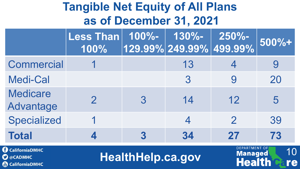#### **Tangible Net Equity of All Plans as of December 31, 2021**

|                              | Less Than   100%-   130%-<br>100% |   |    | $250% -$<br>  129.99% 249.99% 499.99% | 500%+ |
|------------------------------|-----------------------------------|---|----|---------------------------------------|-------|
| <b>Commercial</b>            |                                   |   | 13 |                                       |       |
| <b>Medi-Cal</b>              |                                   |   | 3  |                                       | 20    |
| <b>Medicare</b><br>Advantage |                                   | 3 | 14 | 12                                    | 5     |
| <b>Specialized</b>           |                                   |   |    | $\mathcal{P}$                         | 39    |
| <b>Total</b>                 |                                   |   | 34 | 27                                    | 73    |

**CaliforniaDMHC O** @CADMHC **CaliforniaDMHC** 

**HealthHelp.ca.gov**

10

re

**DEPARTMENT OF** 

**Managed**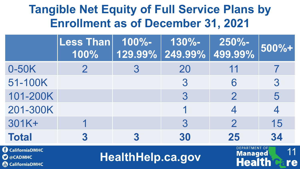#### **Tangible Net Equity of Full Service Plans by Enrollment as of December 31, 2021**

|              | Less Than 100%-<br>100% | 130%-<br>  129.99% 249.99% 499.99% | $250% -$      | 500%+ |
|--------------|-------------------------|------------------------------------|---------------|-------|
| 0-50K        |                         | 20                                 | 11            |       |
| 51-100K      |                         | 3                                  | 6             | 3     |
| 101-200K     |                         | 3                                  | $\mathcal{P}$ | 5     |
| 201-300K     |                         |                                    |               |       |
| 301K+        |                         | 3                                  | $\mathcal{P}$ | 15    |
| <b>Total</b> |                         | 30                                 | 25            | 34    |

**CaliforniaDMHC C** @CADMHC **CaliforniaDMHC** 

**HealthHelp.ca.gov**

11

re

**DEPARTMENT OF** 

**Managed**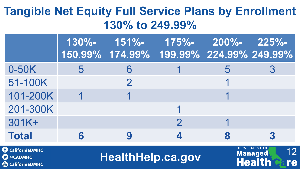#### **Tangible Net Equity Full Service Plans by Enrollment 130% to 249.99%**

|              | $130% -$ | $151% -$      | $175% -$<br>  150.99%   174.99%   199.99%   224.99% 249.99% | $200\% - 225\% -$ |  |
|--------------|----------|---------------|-------------------------------------------------------------|-------------------|--|
| 0-50K        |          |               |                                                             |                   |  |
| 51-100K      |          | $\mathcal{P}$ |                                                             |                   |  |
| 101-200K     |          |               |                                                             |                   |  |
| 201-300K     |          |               |                                                             |                   |  |
| 301K+        |          |               |                                                             |                   |  |
| <b>Total</b> |          |               |                                                             |                   |  |

**CaliforniaDMHC O** @CADMHC **&** CaliforniaDMHC

**HealthHelp.ca.gov**

12

re

**DEPARTMENT OF** 

**Managed**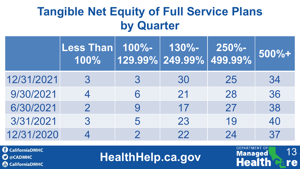#### **Tangible Net Equity of Full Service Plans by Quarter**

|            | Less Than<br>100% | $100\%$ -     | 130%-<br>$\mid$ 129.99% $\mid$ 249.99% $\mid$ 499.99% | $250% -$ | $500% +$ |
|------------|-------------------|---------------|-------------------------------------------------------|----------|----------|
| 12/31/2021 | 3                 | 3             | 30                                                    | 25       | 34       |
| 9/30/2021  |                   | 6             | 21                                                    | 28       | 36       |
| 6/30/2021  | $\mathcal{P}$     | 9             | 17                                                    | 27       | 38       |
| 3/31/2021  | 3                 | 5             | 23                                                    | 19       | 40       |
| 12/31/2020 |                   | $\mathcal{P}$ | 22                                                    | 24       | 37       |

**CaliforniaDMHC C** @CADMHC **CaliforniaDMHC** 

**HealthHelp.ca.gov**

13

re

**DEPARTMENT OF** 

**Managed**